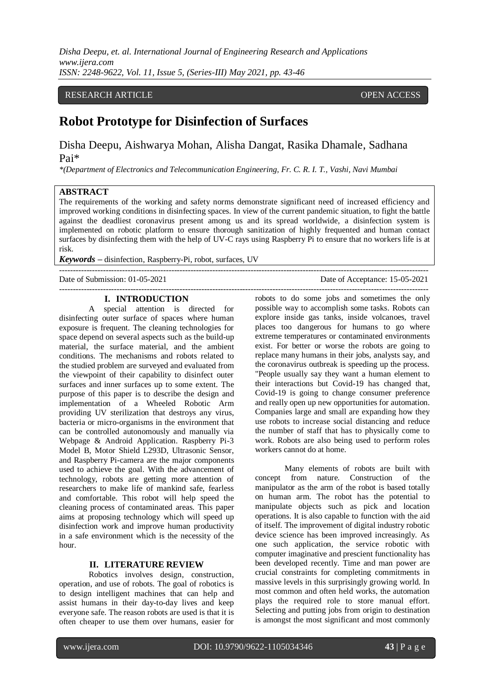*Disha Deepu, et. al. International Journal of Engineering Research and Applications www.ijera.com ISSN: 2248-9622, Vol. 11, Issue 5, (Series-III) May 2021, pp. 43-46*

# RESEARCH ARTICLE **CONTRACT ARTICLE**

# **Robot Prototype for Disinfection of Surfaces**

Disha Deepu, Aishwarya Mohan, Alisha Dangat, Rasika Dhamale, Sadhana Pai\*

*\*(Department of Electronics and Telecommunication Engineering, Fr. C. R. I. T., Vashi, Navi Mumbai*

#### **ABSTRACT**

The requirements of the working and safety norms demonstrate significant need of increased efficiency and improved working conditions in disinfecting spaces. In view of the current pandemic situation, to fight the battle against the deadliest coronavirus present among us and its spread worldwide, a disinfection system is implemented on robotic platform to ensure thorough sanitization of highly frequented and human contact surfaces by disinfecting them with the help of UV-C rays using Raspberry Pi to ensure that no workers life is at risk.

---------------------------------------------------------------------------------------------------------------------------------------

---------------------------------------------------------------------------------------------------------------------------------------

*Keywords* **–** disinfection, Raspberry-Pi, robot, surfaces, UV

Date of Submission: 01-05-2021 Date of Acceptance: 15-05-2021

#### **I. INTRODUCTION**

A special attention is directed for disinfecting outer surface of spaces where human exposure is frequent. The cleaning technologies for space depend on several aspects such as the build-up material, the surface material, and the ambient conditions. The mechanisms and robots related to the studied problem are surveyed and evaluated from the viewpoint of their capability to disinfect outer surfaces and inner surfaces up to some extent. The purpose of this paper is to describe the design and implementation of a Wheeled Robotic Arm providing UV sterilization that destroys any virus, bacteria or micro-organisms in the environment that can be controlled autonomously and manually via Webpage & Android Application. Raspberry Pi-3 Model B, Motor Shield L293D, Ultrasonic Sensor, and Raspberry Pi-camera are the major components used to achieve the goal. With the advancement of technology, robots are getting more attention of researchers to make life of mankind safe, fearless and comfortable. This robot will help speed the cleaning process of contaminated areas. This paper aims at proposing technology which will speed up disinfection work and improve human productivity in a safe environment which is the necessity of the hour.

#### **II. LITERATURE REVIEW**

Robotics involves design, construction, operation, and use of robots. The goal of robotics is to design intelligent machines that can help and assist humans in their day-to-day lives and keep everyone safe. The reason robots are used is that it is often cheaper to use them over humans, easier for

robots to do some jobs and sometimes the only possible way to accomplish some tasks. Robots can explore inside gas tanks, inside volcanoes, travel places too dangerous for humans to go where extreme temperatures or contaminated environments exist. For better or worse the robots are going to replace many humans in their jobs, analysts say, and the coronavirus outbreak is speeding up the process. "People usually say they want a human element to their interactions but Covid-19 has changed that, Covid-19 is going to change consumer preference and really open up new opportunities for automation. Companies large and small are expanding how they use robots to increase social distancing and reduce the number of staff that has to physically come to work. Robots are also being used to perform roles workers cannot do at home.

Many elements of robots are built with concept from nature. Construction of the manipulator as the arm of the robot is based totally on human arm. The robot has the potential to manipulate objects such as pick and location operations. It is also capable to function with the aid of itself. The improvement of digital industry robotic device science has been improved increasingly. As one such application, the service robotic with computer imaginative and prescient functionality has been developed recently. Time and man power are crucial constraints for completing commitments in massive levels in this surprisingly growing world. In most common and often held works, the automation plays the required role to store manual effort. Selecting and putting jobs from origin to destination is amongst the most significant and most commonly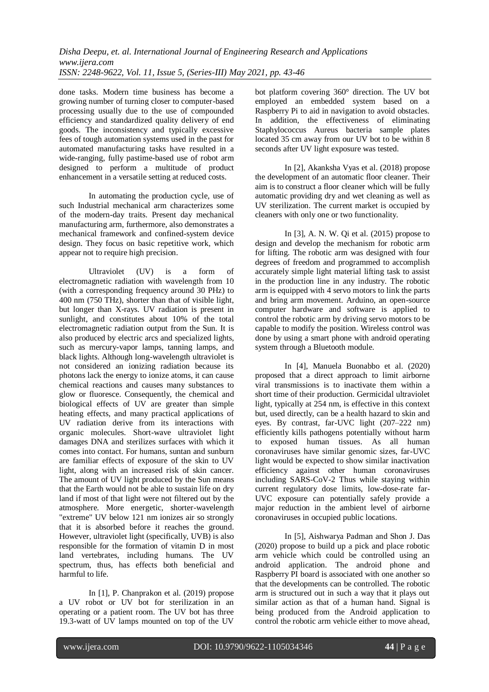done tasks. Modern time business has become a growing number of turning closer to computer-based processing usually due to the use of compounded efficiency and standardized quality delivery of end goods. The inconsistency and typically excessive fees of tough automation systems used in the past for automated manufacturing tasks have resulted in a wide-ranging, fully pastime-based use of robot arm designed to perform a multitude of product enhancement in a versatile setting at reduced costs.

In automating the production cycle, use of such Industrial mechanical arm characterizes some of the modern-day traits. Present day mechanical manufacturing arm, furthermore, also demonstrates a mechanical framework and confined-system device design. They focus on basic repetitive work, which appear not to require high precision.

Ultraviolet (UV) is a form of electromagnetic radiation with wavelength from 10 (with a corresponding frequency around 30 PHz) to 400 nm (750 THz), shorter than that of visible light, but longer than X-rays. UV radiation is present in sunlight, and constitutes about 10% of the total electromagnetic radiation output from the Sun. It is also produced by electric arcs and specialized lights, such as mercury-vapor lamps, tanning lamps, and black lights. Although long-wavelength ultraviolet is not considered an ionizing radiation because its photons lack the energy to ionize atoms, it can cause chemical reactions and causes many substances to glow or fluoresce. Consequently, the chemical and biological effects of UV are greater than simple heating effects, and many practical applications of UV radiation derive from its interactions with organic molecules. Short-wave ultraviolet light damages DNA and sterilizes surfaces with which it comes into contact. For humans, suntan and sunburn are familiar effects of exposure of the skin to UV light, along with an increased risk of skin cancer. The amount of UV light produced by the Sun means that the Earth would not be able to sustain life on dry land if most of that light were not filtered out by the atmosphere. More energetic, shorter-wavelength "extreme" UV below 121 nm ionizes air so strongly that it is absorbed before it reaches the ground. However, ultraviolet light (specifically, UVB) is also responsible for the formation of vitamin D in most land vertebrates, including humans. The UV spectrum, thus, has effects both beneficial and harmful to life.

In [1], P. Chanprakon et al. (2019) propose a UV robot or UV bot for sterilization in an operating or a patient room. The UV bot has three 19.3-watt of UV lamps mounted on top of the UV

bot platform covering 360° direction. The UV bot employed an embedded system based on a Raspberry Pi to aid in navigation to avoid obstacles. In addition, the effectiveness of eliminating Staphylococcus Aureus bacteria sample plates located 35 cm away from our UV bot to be within 8 seconds after UV light exposure was tested.

In [2], Akanksha Vyas et al. (2018) propose the development of an automatic floor cleaner. Their aim is to construct a floor cleaner which will be fully automatic providing dry and wet cleaning as well as UV sterilization. The current market is occupied by cleaners with only one or two functionality.

In [3], A. N. W. Qi et al. (2015) propose to design and develop the mechanism for robotic arm for lifting. The robotic arm was designed with four degrees of freedom and programmed to accomplish accurately simple light material lifting task to assist in the production line in any industry. The robotic arm is equipped with 4 servo motors to link the parts and bring arm movement. Arduino, an open-source computer hardware and software is applied to control the robotic arm by driving servo motors to be capable to modify the position. Wireless control was done by using a smart phone with android operating system through a Bluetooth module.

In [4], Manuela Buonabbo et al. (2020) proposed that a direct approach to limit airborne viral transmissions is to inactivate them within a short time of their production. Germicidal ultraviolet light, typically at 254 nm, is effective in this context but, used directly, can be a health hazard to skin and eyes. By contrast, far-UVC light (207–222 nm) efficiently kills pathogens potentially without harm to exposed human tissues. As all human coronaviruses have similar genomic sizes, far-UVC light would be expected to show similar inactivation efficiency against other human coronaviruses including SARS-CoV-2 Thus while staying within current regulatory dose limits, low-dose-rate far-UVC exposure can potentially safely provide a major reduction in the ambient level of airborne coronaviruses in occupied public locations.

In [5], Aishwarya Padman and Shon J. Das (2020) propose to build up a pick and place robotic arm vehicle which could be controlled using an android application. The android phone and Raspberry PI board is associated with one another so that the developments can be controlled. The robotic arm is structured out in such a way that it plays out similar action as that of a human hand. Signal is being produced from the Android application to control the robotic arm vehicle either to move ahead,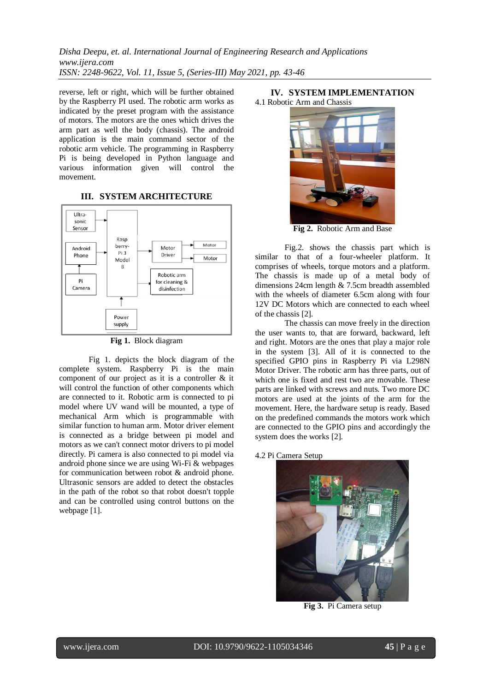*Disha Deepu, et. al. International Journal of Engineering Research and Applications www.ijera.com ISSN: 2248-9622, Vol. 11, Issue 5, (Series-III) May 2021, pp. 43-46*

reverse, left or right, which will be further obtained by the Raspberry PI used. The robotic arm works as indicated by the preset program with the assistance of motors. The motors are the ones which drives the arm part as well the body (chassis). The android application is the main command sector of the robotic arm vehicle. The programming in Raspberry Pi is being developed in Python language and various information given will control the movement.

## **III. SYSTEM ARCHITECTURE**



**Fig 1.** Block diagram

Fig 1. depicts the block diagram of the complete system. Raspberry Pi is the main component of our project as it is a controller & it will control the function of other components which are connected to it. Robotic arm is connected to pi model where UV wand will be mounted, a type of mechanical Arm which is programmable with similar function to human arm. Motor driver element is connected as a bridge between pi model and motors as we can't connect motor drivers to pi model directly. Pi camera is also connected to pi model via android phone since we are using Wi-Fi & webpages for communication between robot & android phone. Ultrasonic sensors are added to detect the obstacles in the path of the robot so that robot doesn't topple and can be controlled using control buttons on the webpage [1].

#### **IV. SYSTEM IMPLEMENTATION** 4.1 Robotic Arm and Chassis



**Fig 2.** Robotic Arm and Base

Fig.2. shows the chassis part which is similar to that of a four-wheeler platform. It comprises of wheels, torque motors and a platform. The chassis is made up of a metal body of dimensions 24cm length & 7.5cm breadth assembled with the wheels of diameter 6.5cm along with four 12V DC Motors which are connected to each wheel of the chassis [2].

The chassis can move freely in the direction the user wants to, that are forward, backward, left and right. Motors are the ones that play a major role in the system [3]. All of it is connected to the specified GPIO pins in Raspberry Pi via L298N Motor Driver. The robotic arm has three parts, out of which one is fixed and rest two are movable. These parts are linked with screws and nuts. Two more DC motors are used at the joints of the arm for the movement. Here, the hardware setup is ready. Based on the predefined commands the motors work which are connected to the GPIO pins and accordingly the system does the works [2].

4.2 Pi Camera Setup



**Fig 3.** Pi Camera setup